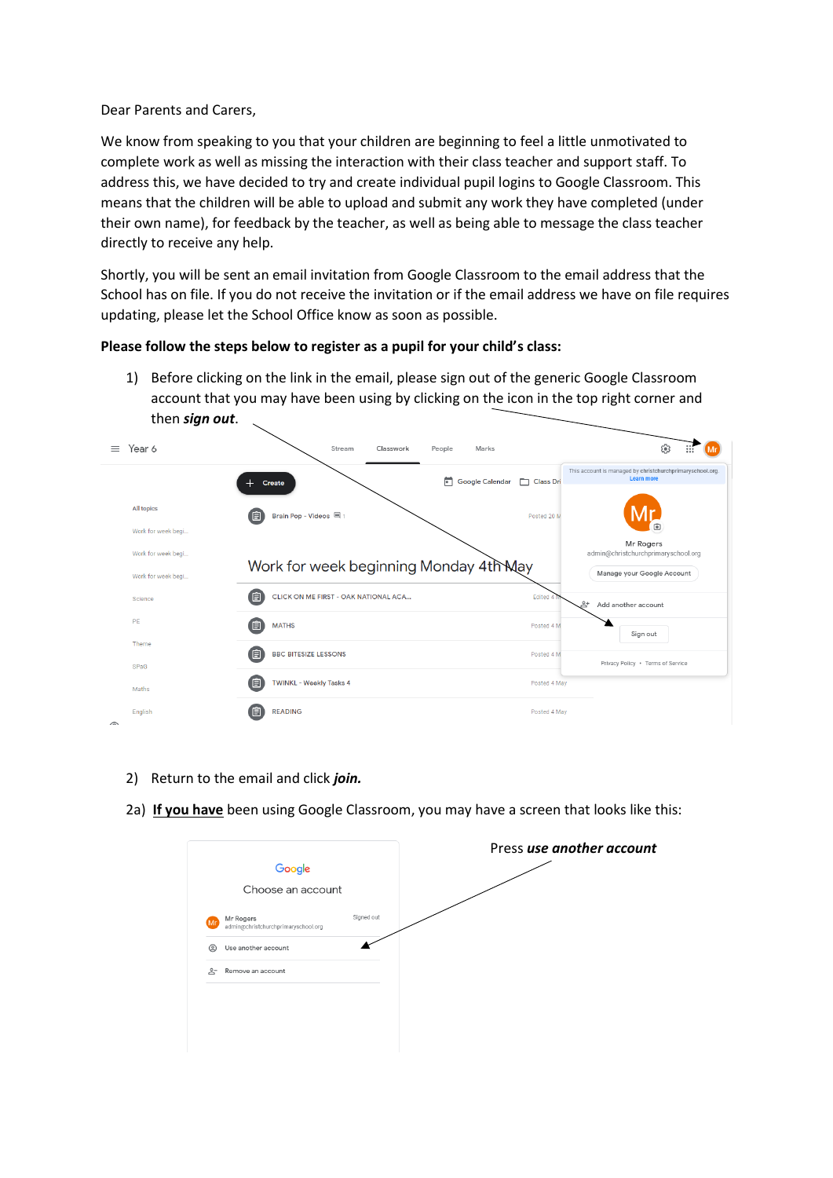Dear Parents and Carers,

We know from speaking to you that your children are beginning to feel a little unmotivated to complete work as well as missing the interaction with their class teacher and support staff. To address this, we have decided to try and create individual pupil logins to Google Classroom. This means that the children will be able to upload and submit any work they have completed (under their own name), for feedback by the teacher, as well as being able to message the class teacher directly to receive any help.

Shortly, you will be sent an email invitation from Google Classroom to the email address that the School has on file. If you do not receive the invitation or if the email address we have on file requires updating, please let the School Office know as soon as possible.

## **Please follow the steps below to register as a pupil for your child's class:**

1) Before clicking on the link in the email, please sign out of the generic Google Classroom account that you may have been using by clicking on the icon in the top right corner and then *sign out*.

| Year 6<br>$=$                      | Stream<br>Classwork<br>People<br>Marks    |              | ල<br>$\mathbf{1}\mathbf{1}\mathbf{2}$                                   |
|------------------------------------|-------------------------------------------|--------------|-------------------------------------------------------------------------|
|                                    | m<br><b>Google Calendar</b><br>Create     | Class Dri    | This account is managed by christchurchprimaryschool.org.<br>Learn more |
| All topics                         | Brain Pop - Videos 国1<br>值                | Posted 20 M  |                                                                         |
| Work for week begi                 |                                           |              | ⊕<br>Mr Rogers                                                          |
| Work for week begi                 | Work for week beginning Monday 4th May    |              | admin@christchurchprimaryschool.org                                     |
| Work for week begi                 |                                           |              | Manage your Google Account                                              |
| Science                            | 旧<br>CLICK ON ME FIRST - OAK NATIONAL ACA | Edited 4     | 2+<br>Add another account                                               |
| PE                                 | 自<br><b>MATHS</b>                         | Posted 4 M   | Sign out                                                                |
| Theme<br>SPaG                      | 〔自<br><b>BBC BITESIZE LESSONS</b>         | Posted 4 M   | Privacy Policy · Terms of Service                                       |
| Maths                              | 值<br><b>TWINKL - Weekly Tasks 4</b>       | Posted 4 May |                                                                         |
| English<br>$\widehat{\phantom{a}}$ | 旧<br><b>READING</b>                       | Posted 4 May |                                                                         |

- 2) Return to the email and click *join.*
- 2a) **If you have** been using Google Classroom, you may have a screen that looks like this:

|          | Google<br>Choose an account                      |            |
|----------|--------------------------------------------------|------------|
| Mr       | Mr Rogers<br>admin@christchurchprimaryschool.org | Signed out |
| ©        | Use another account                              |            |
| <u>ి</u> | Remove an account                                |            |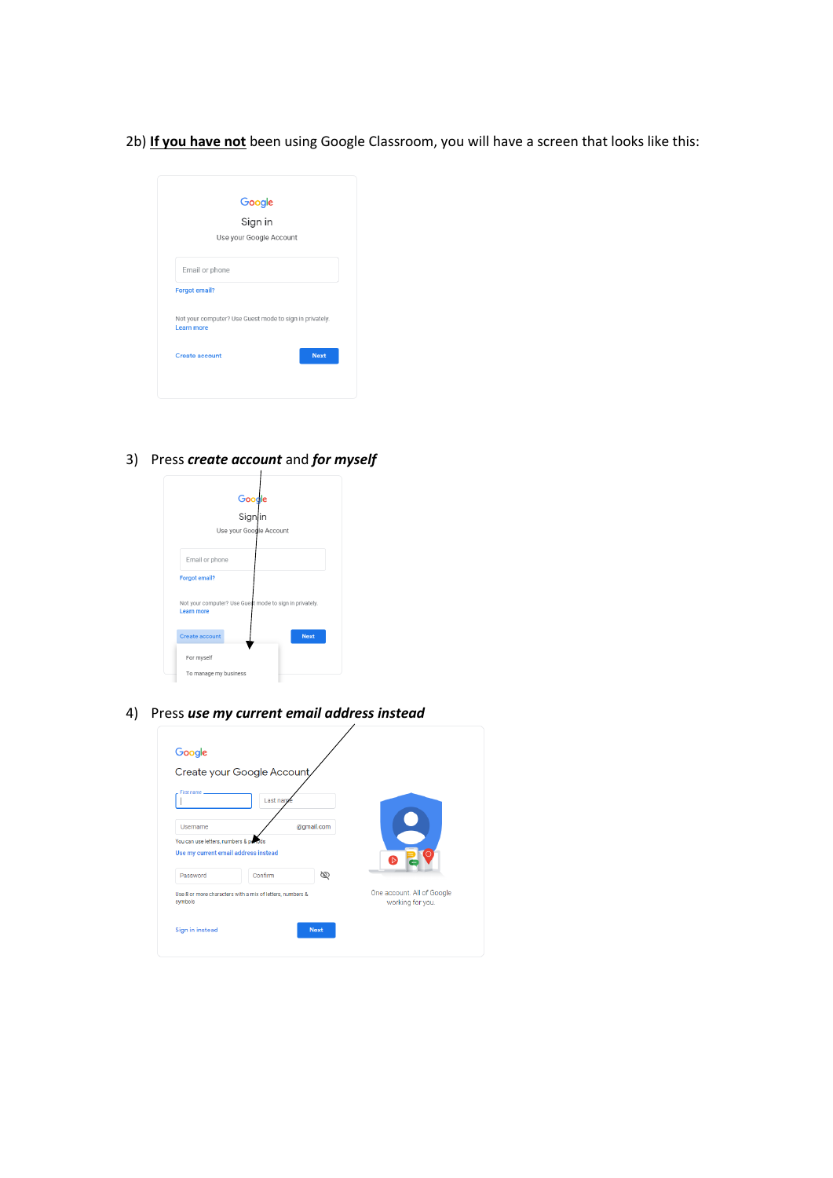2b) **If you have not** been using Google Classroom, you will have a screen that looks like this:

| Google<br>Sign in<br>Use your Google Account                                 |  |  |  |
|------------------------------------------------------------------------------|--|--|--|
|                                                                              |  |  |  |
|                                                                              |  |  |  |
| Email or phone                                                               |  |  |  |
| <b>Forgot email?</b>                                                         |  |  |  |
| Not your computer? Use Guest mode to sign in privately.<br><b>Learn more</b> |  |  |  |
| <b>Next</b><br>Create account                                                |  |  |  |

3) Press *create account* and *for myself*

|                                     | Google<br>Signin                                        |
|-------------------------------------|---------------------------------------------------------|
|                                     |                                                         |
|                                     | Use your Google Account                                 |
| Email or phone                      |                                                         |
| <b>Forgot email?</b>                |                                                         |
| <b>Learn more</b>                   | Not your computer? Use Guest mode to sign in privately. |
|                                     | <b>Next</b>                                             |
|                                     |                                                         |
| <b>Create account</b><br>For myself |                                                         |

4) Press *use my current email address instead*

| Google                                                                         |                                                           |             |                                                |
|--------------------------------------------------------------------------------|-----------------------------------------------------------|-------------|------------------------------------------------|
|                                                                                | Create your Google Account,                               |             |                                                |
| First name                                                                     | Last nam                                                  |             |                                                |
| Username                                                                       |                                                           | @qmail.com  |                                                |
| You can use letters, numbers & periods<br>Use my current email address instead |                                                           |             | ÏБ.                                            |
| Password                                                                       | Confirm                                                   | Ø           |                                                |
| symbols                                                                        | Use 8 or more characters with a mix of letters, numbers & |             | One account. All of Google<br>working for you. |
| Sign in instead                                                                |                                                           | <b>Next</b> |                                                |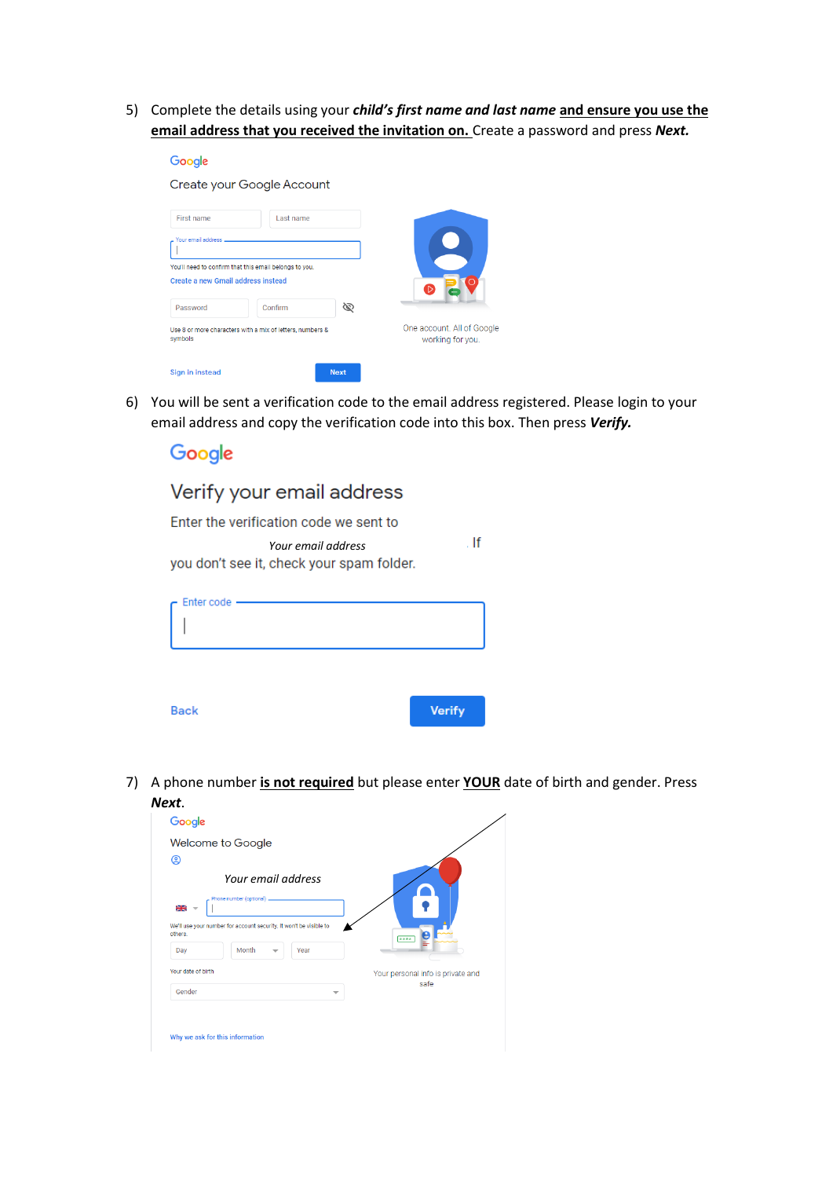5) Complete the details using your *child's first name and last name* **and ensure you use the email address that you received the invitation on.** Create a password and press *Next.* 

| Google                                                                                       |           |             |                                                |
|----------------------------------------------------------------------------------------------|-----------|-------------|------------------------------------------------|
| Create your Google Account                                                                   |           |             |                                                |
| First name                                                                                   | Last name |             |                                                |
| Your email address                                                                           |           |             |                                                |
| You'll need to confirm that this email belongs to you.<br>Create a new Gmail address instead |           |             | $\triangleright$                               |
| Password                                                                                     | Confirm   | Ø           |                                                |
| Use 8 or more characters with a mix of letters, numbers &<br>symbols                         |           |             | One account. All of Google<br>working for you. |
| Sign in instead                                                                              |           | <b>Next</b> |                                                |

6) You will be sent a verification code to the email address registered. Please login to your email address and copy the verification code into this box. Then press *Verify.*

If

## Google Verify your email address

Enter the verification code we sent to *Your email address* you don't see it, check your spam folder.

| Enter code -<br>÷ |               |
|-------------------|---------------|
|                   |               |
| <b>Back</b>       | <b>Verify</b> |

7) A phone number **is not required** but please enter **YOUR** date of birth and gender. Press *Next*.

| Google             |                                                                    |      |                                   |
|--------------------|--------------------------------------------------------------------|------|-----------------------------------|
|                    | Welcome to Google                                                  |      |                                   |
| @                  |                                                                    |      |                                   |
|                    | Your email address<br>Phone number (optional) _                    |      |                                   |
| 꾦                  |                                                                    |      |                                   |
| others             | We'll use your number for account security. It won't be visible to |      | ****                              |
| Day                | Month<br>$\overline{\phantom{a}}$                                  | Year |                                   |
| Your date of birth |                                                                    |      | Your personal info is private and |
|                    |                                                                    | ⇁    | safe                              |